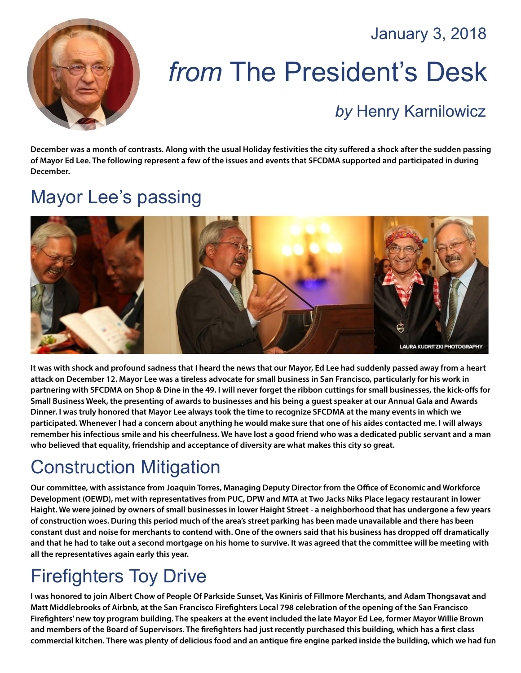January 3, 2018



# *from* The President's Desk

#### *by* [Henry Karnilowicz](mailto:henry@sfcdma.org)

**December was a month of contrasts. Along with the usual Holiday festivities the city suffered a shock after the sudden passing of Mayor Ed Lee. The following represent a few of the issues and events that SFCDMA supported and participated in during December.** 

#### Mayor Lee's passing



**It was with shock and profound sadness that I heard the news that our Mayor, Ed Lee had suddenly passed away from a heart attack on December 12. Mayor Lee was a tireless advocate for small business in San Francisco, particularly for his work in partnering with SFCDMA on Shop & Dine in the 49. I will never forget the ribbon cuttings for small businesses, the kick-offs for Small Business Week, the presenting of awards to businesses and his being a guest speaker at our Annual Gala and Awards Dinner. I was truly honored that Mayor Lee always took the time to recognize SFCDMA at the many events in which we participated. Whenever I had a concern about anything he would make sure that one of his aides contacted me. I will always remember his infectious smile and his cheerfulness. We have lost a good friend who was a dedicated public servant and a man who believed that equality, friendship and acceptance of diversity are what makes this city so great.**

### Construction Mitigation

**Our committee, with assistance from Joaquin Torres, Managing Deputy Director from the Office of Economic and Workforce Development (OEWD), met with representatives from PUC, DPW and MTA at Two Jacks Niks Place legacy restaurant in lower Haight. We were joined by owners of small businesses in lower Haight Street - a neighborhood that has undergone a few years of construction woes. During this period much of the area's street parking has been made unavailable and there has been constant dust and noise for merchants to contend with. One of the owners said that his business has dropped off dramatically and that he had to take out a second mortgage on his home to survive. It was agreed that the committee will be meeting with all the representatives again early this year.**

### Firefighters Toy Drive

**I was honored to join Albert Chow of People Of Parkside Sunset, Vas Kiniris of Fillmore Merchants, and Adam Thongsavat and Matt Middlebrooks of Airbnb, at the San Francisco Firefighters Local 798 celebration of the opening of the San Francisco Firefighters' new toy program building. The speakers at the event included the late Mayor Ed Lee, former Mayor Willie Brown and members of the Board of Supervisors. The firefighters had just recently purchased this building, which has a first class commercial kitchen. There was plenty of delicious food and an antique fire engine parked inside the building, which we had fun**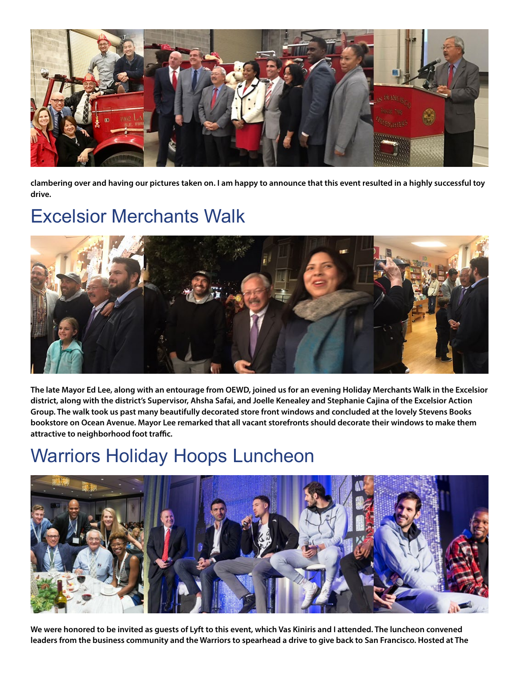

**clambering over and having our pictures taken on. I am happy to announce that this event resulted in a highly successful toy drive.**

#### Excelsior Merchants Walk



**The late Mayor Ed Lee, along with an entourage from OEWD, joined us for an evening Holiday Merchants Walk in the Excelsior district, along with the district's Supervisor, Ahsha Safai, and Joelle Kenealey and Stephanie Cajina of the Excelsior Action Group. The walk took us past many beautifully decorated store front windows and concluded at the lovely Stevens Books bookstore on Ocean Avenue. Mayor Lee remarked that all vacant storefronts should decorate their windows to make them attractive to neighborhood foot traffic.**

#### Warriors Holiday Hoops Luncheon



**We were honored to be invited as guests of Lyft to this event, which Vas Kiniris and I attended. The luncheon convened leaders from the business community and the Warriors to spearhead a drive to give back to San Francisco. Hosted at The**